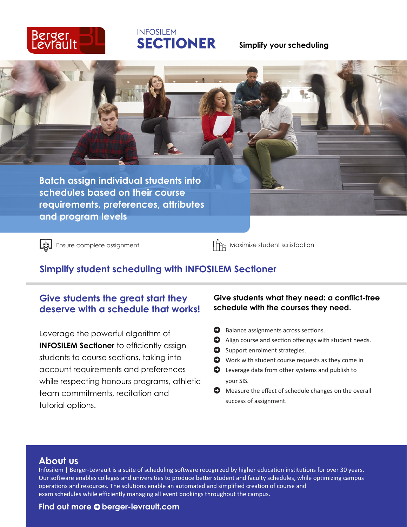

# **INFOSILEM SECTIONER**

#### **Simplify your scheduling**



 $\left[\bigcirc\right]$  Ensure complete assignment Maximize student satisfaction

# **Simplify student scheduling with INFOSILEM Sectioner**

# **Give students the great start they deserve with a schedule that works!**

Leverage the powerful algorithm of **INFOSILEM Sectioner** to efficiently assign students to course sections, taking into account requirements and preferences while respecting honours programs, athletic team commitments, recitation and tutorial options.

#### **Give students what they need: a conflict-free schedule with the courses they need.**

- $\bullet$  Balance assignments across sections.
- $\bullet$  Align course and section offerings with student needs.
- $\bullet$  Support enrolment strategies.
- $\bullet$  Work with student course requests as they come in
- $\bullet$  Leverage data from other systems and publish to your SIS.
- $\bullet$  Measure the effect of schedule changes on the overall success of assignment.

#### **About us**

Infosilem | Berger-Levrault is a suite of scheduling software recognized by higher education institutions for over 30 years. Our software enables colleges and universities to produce better student and faculty schedules, while optimizing campus operations and resources. The solutions enable an automated and simplified creation of course and exam schedules while efficiently managing all event bookings throughout the campus.

#### **Find out more © berger-levrault.com**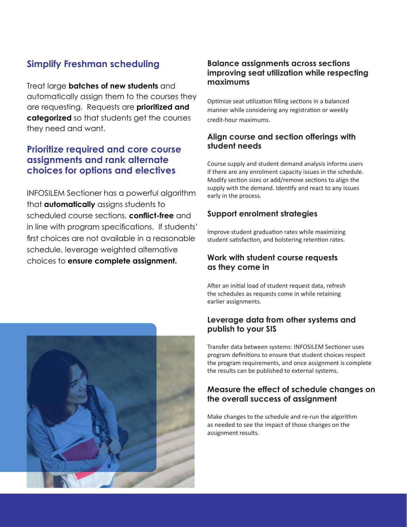# **Simplify Freshman scheduling**

Treat large **batches of new students** and automatically assign them to the courses they are requesting. Requests are **prioritized and categorized** so that students get the courses they need and want.

## **Prioritize required and core course assignments and rank alternate choices for options and electives**

INFOSILEM Sectioner has a powerful algorithm that **automatically** assigns students to scheduled course sections, **conflict-free** and in line with program specifications. If students' first choices are not available in a reasonable schedule, leverage weighted alternative choices to **ensure complete assignment.**

#### **Balance assignments across sections improving seat utilization while respecting maximums**

Optimize seat utilization filling sections in a balanced manner while considering any registration or weekly credit-hour maximums.

#### **Align course and section offerings with student needs**

Course supply and student demand analysis informs users if there are any enrolment capacity issues in the schedule. Modify section sizes or add/remove sections to align the supply with the demand. Identify and react to any issues early in the process.

#### **Support enrolment strategies**

Improve student graduation rates while maximizing student satisfaction, and bolstering retention rates.

#### **Work with student course requests as they come in**

After an initial load of student request data, refresh the schedules as requests come in while retaining earlier assignments.

#### **Leverage data from other systems and publish to your SIS**

Transfer data between systems: INFOSILEM Sectioner uses program definitions to ensure that student choices respect the program requirements, and once assignment is complete the results can be published to external systems.

#### **Measure the effect of schedule changes on the overall success of assignment**

Make changes to the schedule and re-run the algorithm as needed to see the impact of those changes on the assignment results.